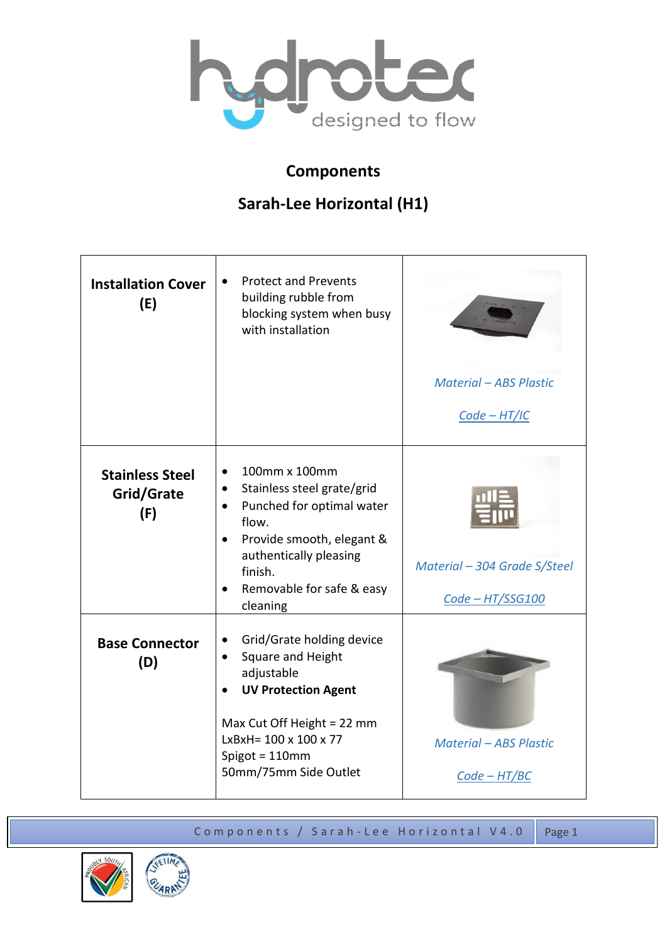

## **Components**

## **Sarah-Lee Horizontal (H1)**

| <b>Installation Cover</b><br>(E)            | <b>Protect and Prevents</b><br>building rubble from<br>blocking system when busy<br>with installation                                                                                                                                                         | <b>Material - ABS Plastic</b><br>$Code - HT/IC$  |
|---------------------------------------------|---------------------------------------------------------------------------------------------------------------------------------------------------------------------------------------------------------------------------------------------------------------|--------------------------------------------------|
| <b>Stainless Steel</b><br>Grid/Grate<br>(F) | 100mm x 100mm<br>$\bullet$<br>Stainless steel grate/grid<br>$\bullet$<br>Punched for optimal water<br>$\bullet$<br>flow.<br>Provide smooth, elegant &<br>$\bullet$<br>authentically pleasing<br>finish.<br>Removable for safe & easy<br>$\bullet$<br>cleaning | Material - 304 Grade S/Steel<br>Code - HT/SSG100 |
| <b>Base Connector</b><br>(D)                | Grid/Grate holding device<br>$\bullet$<br>Square and Height<br>$\bullet$<br>adjustable<br><b>UV Protection Agent</b><br>Max Cut Off Height = 22 mm<br>$LxBxH = 100 \times 100 \times 77$<br>Spigot = 110mm<br>50mm/75mm Side Outlet                           | <b>Material - ABS Plastic</b><br>$Code - HT/BC$  |